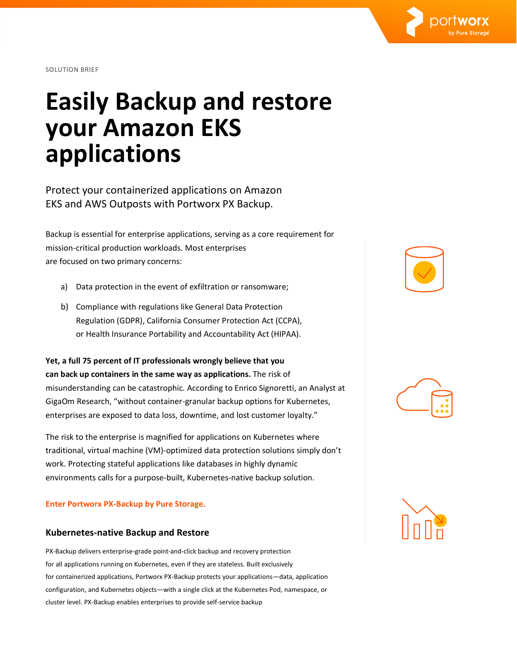

SOLUTION BRIEF

# **Easily Backup and restore your Amazon EKS applications**

Protect your containerized applications on Amazon EKS and AWS Outposts with Portworx PX Backup.

Backup is essential for enterprise applications, serving as a core requirement for mission-critical production workloads. Most enterprises are focused on two primary concerns:

- a) Data protection in the event of exfiltration or ransomware;
- b) Compliance with regulations like General Data Protection Regulation (GDPR), California Consumer Protection Act (CCPA), or Health Insurance Portability and Accountability Act (HIPAA).

**Yet, a full 75 percent of IT professionals wrongly believe that you can back up containers in the same way as applications.** The risk of misunderstanding can be catastrophic. According to Enrico Signoretti, an Analyst at GigaOm Research, "without container-granular backup options for Kubernetes, enterprises are exposed to data loss, downtime, and lost customer loyalty."

The risk to the enterprise is magnified for applications on Kubernetes where traditional, virtual machine (VM)-optimized data protection solutions simply don't work. Protecting stateful applications like databases in highly dynamic environments calls for a purpose-built, Kubernetes-native backup solution.

#### **Enter Portworx PX-Backup by Pure Storage.**

#### **Kubernetes-native Backup and Restore**

PX-Backup delivers enterprise-grade point-and-click backup and recovery protection for all applications running on Kubernetes, even if they are stateless. Built exclusively for containerized applications, Portworx PX-Backup protects your applications—data, application configuration, and Kubernetes objects—with a single click at the Kubernetes Pod, namespace, or cluster level. PX-Backup enables enterprises to provide self-service backup





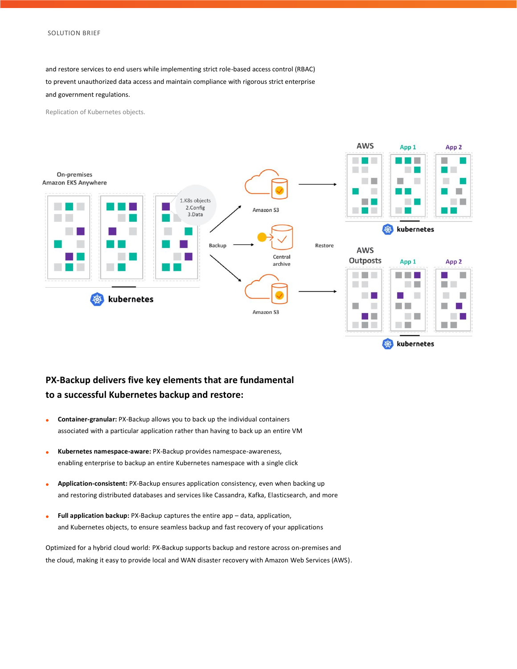and restore services to end users while implementing strict role-based access control (RBAC) to prevent unauthorized data access and maintain compliance with rigorous strict enterprise and government regulations.

Replication of Kubernetes objects.



### **PX-Backup delivers five key elements that are fundamental to a successful Kubernetes backup and restore:**

- **Container-granular:** PX-Backup allows you to back up the individual containers associated with a particular application rather than having to back up an entire VM
- **Kubernetes namespace-aware:** PX-Backup provides namespace-awareness, enabling enterprise to backup an entire Kubernetes namespace with a single click
- **Application-consistent:** PX-Backup ensures application consistency, even when backing up and restoring distributed databases and services like Cassandra, Kafka, Elasticsearch, and more
- **Full application backup:** PX-Backup captures the entire app data, application, and Kubernetes objects, to ensure seamless backup and fast recovery of your applications

Optimized for a hybrid cloud world: PX-Backup supports backup and restore across on-premises and the cloud, making it easy to provide local and WAN disaster recovery with Amazon Web Services (AWS).